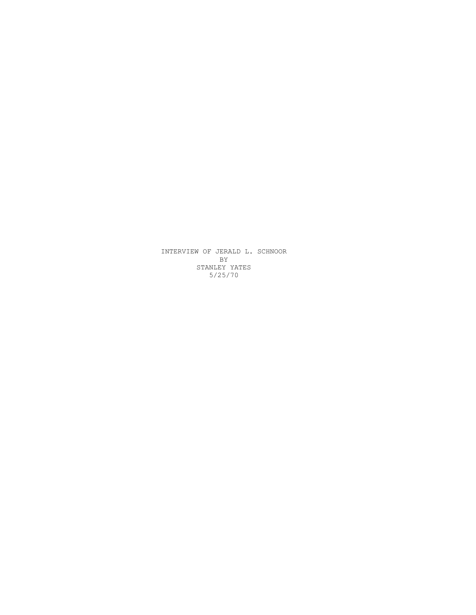INTERVIEW OF JERALD L. SCHNOOR BY STANLEY YATES 5/25/70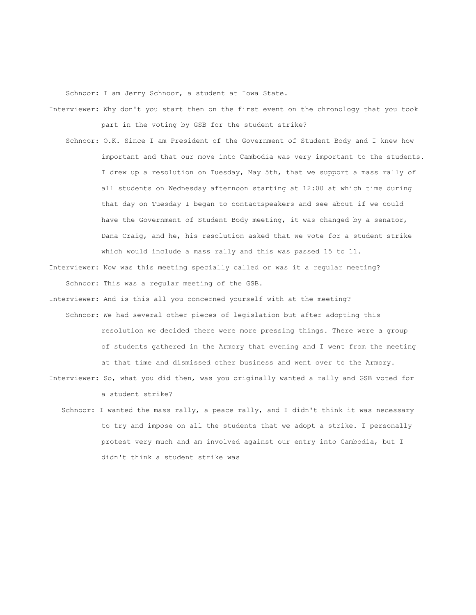Schnoor: I am Jerry Schnoor, a student at Iowa State.

- Interviewer: Why don't you start then on the first event on the chronology that you took part in the voting by GSB for the student strike?
	- Schnoor: O.K. Since I am President of the Government of Student Body and I knew how important and that our move into Cambodia was very important to the students. I drew up a resolution on Tuesday, May 5th, that we support a mass rally of all students on Wednesday afternoon starting at 12:00 at which time during that day on Tuesday I began to contactspeakers and see about if we could have the Government of Student Body meeting, it was changed by a senator, Dana Craig, and he, his resolution asked that we vote for a student strike which would include a mass rally and this was passed 15 to 11.
- Interviewer: Now was this meeting specially called or was it a regular meeting? Schnoor: This was a regular meeting of the GSB.
- Interviewer: And is this all you concerned yourself with at the meeting? Schnoor: We had several other pieces of legislation but after adopting this resolution we decided there were more pressing things. There were a group of students gathered in the Armory that evening and I went from the meeting at that time and dismissed other business and went over to the Armory.
- Interviewer: So, what you did then, was you originally wanted a rally and GSB voted for a student strike?
	- Schnoor: I wanted the mass rally, a peace rally, and I didn't think it was necessary to try and impose on all the students that we adopt a strike. I personally protest very much and am involved against our entry into Cambodia, but I didn't think a student strike was